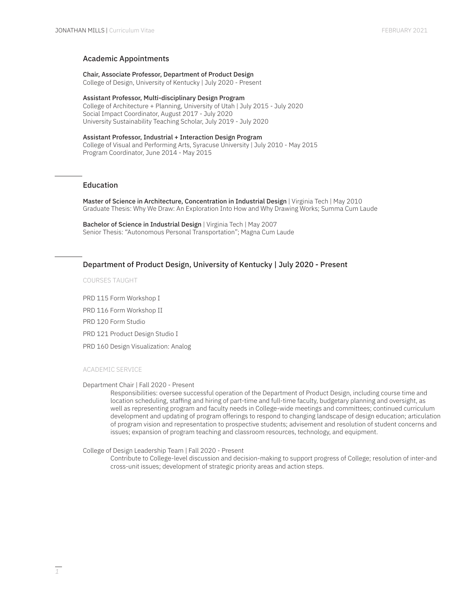### Academic Appointments

Chair, Associate Professor, Department of Product Design College of Design, University of Kentucky | July 2020 - Present

Assistant Professor, Multi-disciplinary Design Program College of Architecture + Planning, University of Utah | July 2015 - July 2020 Social Impact Coordinator, August 2017 - July 2020 University Sustainability Teaching Scholar, July 2019 - July 2020

Assistant Professor, Industrial + Interaction Design Program College of Visual and Performing Arts, Syracuse University | July 2010 - May 2015 Program Coordinator, June 2014 - May 2015

## Education

Master of Science in Architecture, Concentration in Industrial Design | Virginia Tech | May 2010 Graduate Thesis: Why We Draw: An Exploration Into How and Why Drawing Works; Summa Cum Laude

Bachelor of Science in Industrial Design | Virginia Tech | May 2007 Senior Thesis: "Autonomous Personal Transportation"; Magna Cum Laude

## Department of Product Design, University of Kentucky | July 2020 - Present

COURSES TAUGHT

PRD 115 Form Workshop I

PRD 116 Form Workshop II

PRD 120 Form Studio

PRD 121 Product Design Studio I

PRD 160 Design Visualization: Analog

### ACADEMIC SERVICE

### Department Chair | Fall 2020 - Present

Responsibilities: oversee successful operation of the Department of Product Design, including course time and location scheduling, staffing and hiring of part-time and full-time faculty, budgetary planning and oversight, as well as representing program and faculty needs in College-wide meetings and committees; continued curriculum development and updating of program offerings to respond to changing landscape of design education; articulation of program vision and representation to prospective students; advisement and resolution of student concerns and issues; expansion of program teaching and classroom resources, technology, and equipment.

College of Design Leadership Team | Fall 2020 - Present

Contribute to College-level discussion and decision-making to support progress of College; resolution of inter-and cross-unit issues; development of strategic priority areas and action steps.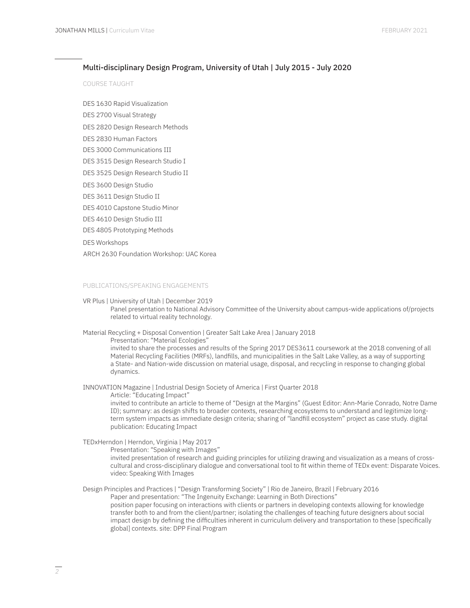## Multi-disciplinary Design Program, University of Utah | July 2015 - July 2020

COURSE TAUGHT

DES 1630 Rapid Visualization

DES 2700 Visual Strategy

DES 2820 Design Research Methods

- DES 2830 Human Factors
- DES 3000 Communications III
- DES 3515 Design Research Studio I
- DES 3525 Design Research Studio II
- DES 3600 Design Studio
- DES 3611 Design Studio II
- DES 4010 Capstone Studio Minor
- DES 4610 Design Studio III
- DES 4805 Prototyping Methods

DES Workshops

ARCH 2630 Foundation Workshop: UAC Korea

#### PUBLICATIONS/SPEAKING ENGAGEMENTS

#### VR Plus | University of Utah | December 2019

Panel presentation to National Advisory Committee of the University about campus-wide applications of/projects related to virtual reality technology.

Material Recycling + Disposal Convention | Greater Salt Lake Area | January 2018

Presentation: "Material Ecologies"

invited to share the processes and results of the Spring 2017 DES3611 coursework at the 2018 convening of all Material Recycling Facilities (MRFs), landfills, and municipalities in the Salt Lake Valley, as a way of supporting a State- and Nation-wide discussion on material usage, disposal, and recycling in response to changing global dynamics.

INNOVATION Magazine | Industrial Design Society of America | First Quarter 2018

Article: "Educating Impact"

invited to contribute an article to theme of "Design at the Margins" (Guest Editor: Ann-Marie Conrado, Notre Dame ID); summary: as design shifts to broader contexts, researching ecosystems to understand and legitimize longterm system impacts as immediate design criteria; sharing of "landfill ecosystem" project as case study. digital publication: Educating Impact

TEDxHerndon | Herndon, Virginia | May 2017

Presentation: "Speaking with Images"

invited presentation of research and guiding principles for utilizing drawing and visualization as a means of crosscultural and cross-disciplinary dialogue and conversational tool to fit within theme of TEDx event: Disparate Voices. video: Speaking With Images

Design Principles and Practices | "Design Transforming Society" | Rio de Janeiro, Brazil | February 2016 Paper and presentation: "The Ingenuity Exchange: Learning in Both Directions" position paper focusing on interactions with clients or partners in developing contexts allowing for knowledge transfer both to and from the client/partner; isolating the challenges of teaching future designers about social impact design by defining the difficulties inherent in curriculum delivery and transportation to these [specifically global] contexts. site: DPP Final Program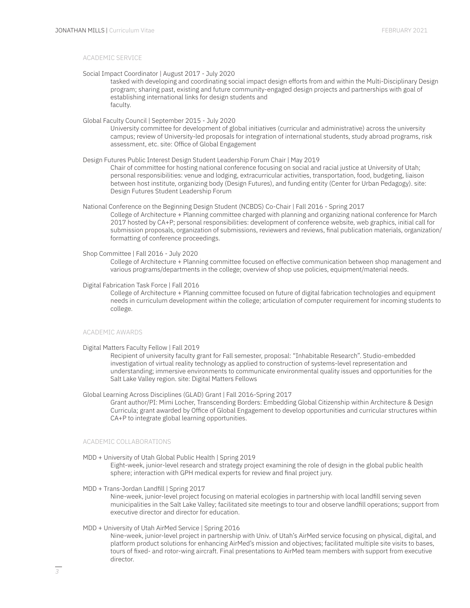### ACADEMIC SERVICE

Social Impact Coordinator | August 2017 - July 2020

tasked with developing and coordinating social impact design efforts from and within the Multi-Disciplinary Design program; sharing past, existing and future community-engaged design projects and partnerships with goal of establishing international links for design students and faculty.

Global Faculty Council | September 2015 - July 2020

University committee for development of global initiatives (curricular and administrative) across the university campus; review of University-led proposals for integration of international students, study abroad programs, risk assessment, etc. site: Office of Global Engagement

Design Futures Public Interest Design Student Leadership Forum Chair | May 2019

Chair of committee for hosting national conference focusing on social and racial justice at University of Utah; personal responsibilities: venue and lodging, extracurricular activities, transportation, food, budgeting, liaison between host institute, organizing body (Design Futures), and funding entity (Center for Urban Pedagogy). site: Design Futures Student Leadership Forum

National Conference on the Beginning Design Student (NCBDS) Co-Chair | Fall 2016 - Spring 2017 College of Architecture + Planning committee charged with planning and organizing national conference for March 2017 hosted by CA+P; personal responsibilities: development of conference website, web graphics, initial call for submission proposals, organization of submissions, reviewers and reviews, final publication materials, organization/ formatting of conference proceedings.

Shop Committee | Fall 2016 - July 2020

College of Architecture + Planning committee focused on effective communication between shop management and various programs/departments in the college; overview of shop use policies, equipment/material needs.

Digital Fabrication Task Force | Fall 2016

College of Architecture + Planning committee focused on future of digital fabrication technologies and equipment needs in curriculum development within the college; articulation of computer requirement for incoming students to college.

#### ACADEMIC AWARDS

Digital Matters Faculty Fellow | Fall 2019

Recipient of university faculty grant for Fall semester, proposal: "Inhabitable Research". Studio-embedded investigation of virtual reality technology as applied to construction of systems-level representation and understanding; immersive environments to communicate environmental quality issues and opportunities for the Salt Lake Valley region. site: Digital Matters Fellows

Global Learning Across Disciplines (GLAD) Grant | Fall 2016-Spring 2017

Grant author/PI: Mimi Locher, Transcending Borders: Embedding Global Citizenship within Architecture & Design Curricula; grant awarded by Office of Global Engagement to develop opportunities and curricular structures within CA+P to integrate global learning opportunities.

### ACADEMIC COLLABORATIONS

MDD + University of Utah Global Public Health | Spring 2019

Eight-week, junior-level research and strategy project examining the role of design in the global public health sphere; interaction with GPH medical experts for review and final project jury.

MDD + Trans-Jordan Landfill | Spring 2017

Nine-week, junior-level project focusing on material ecologies in partnership with local landfill serving seven municipalities in the Salt Lake Valley; facilitated site meetings to tour and observe landfill operations; support from executive director and director for education.

MDD + University of Utah AirMed Service | Spring 2016

Nine-week, junior-level project in partnership with Univ. of Utah's AirMed service focusing on physical, digital, and platform product solutions for enhancing AirMed's mission and objectives; facilitated multiple site visits to bases, tours of fixed- and rotor-wing aircraft. Final presentations to AirMed team members with support from executive director.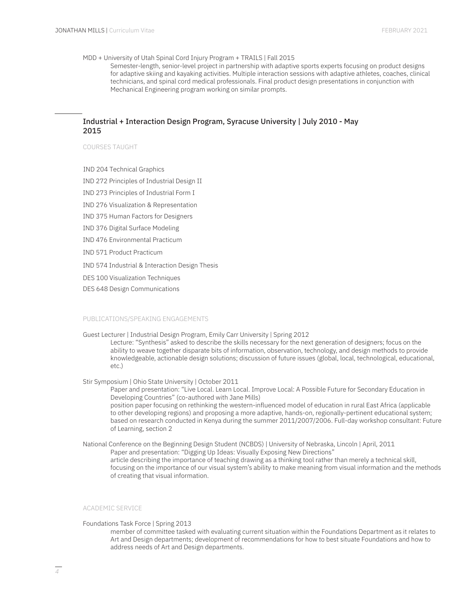### MDD + University of Utah Spinal Cord Injury Program + TRAILS | Fall 2015

Semester-length, senior-level project in partnership with adaptive sports experts focusing on product designs for adaptive skiing and kayaking activities. Multiple interaction sessions with adaptive athletes, coaches, clinical technicians, and spinal cord medical professionals. Final product design presentations in conjunction with Mechanical Engineering program working on similar prompts.

## Industrial + Interaction Design Program, Syracuse University | July 2010 - May 2015

### COURSES TAUGHT

IND 204 Technical Graphics

- IND 272 Principles of Industrial Design II
- IND 273 Principles of Industrial Form I
- IND 276 Visualization & Representation
- IND 375 Human Factors for Designers
- IND 376 Digital Surface Modeling
- IND 476 Environmental Practicum
- IND 571 Product Practicum
- IND 574 Industrial & Interaction Design Thesis
- DES 100 Visualization Techniques
- DES 648 Design Communications

### PUBLICATIONS/SPEAKING ENGAGEMENTS

Guest Lecturer | Industrial Design Program, Emily Carr University | Spring 2012

Lecture: "Synthesis" asked to describe the skills necessary for the next generation of designers; focus on the ability to weave together disparate bits of information, observation, technology, and design methods to provide knowledgeable, actionable design solutions; discussion of future issues (global, local, technological, educational, etc.)

Stir Symposium | Ohio State University | October 2011

Paper and presentation: "Live Local. Learn Local. Improve Local: A Possible Future for Secondary Education in Developing Countries" (co-authored with Jane Mills) position paper focusing on rethinking the western-influenced model of education in rural East Africa (applicable to other developing regions) and proposing a more adaptive, hands-on, regionally-pertinent educational system;

based on research conducted in Kenya during the summer 2011/2007/2006. Full-day workshop consultant: Future of Learning, section 2

National Conference on the Beginning Design Student (NCBDS) | University of Nebraska, Lincoln | April, 2011 Paper and presentation: "Digging Up Ideas: Visually Exposing New Directions" article describing the importance of teaching drawing as a thinking tool rather than merely a technical skill, focusing on the importance of our visual system's ability to make meaning from visual information and the methods of creating that visual information.

### ACADEMIC SERVICE

Foundations Task Force | Spring 2013

member of committee tasked with evaluating current situation within the Foundations Department as it relates to Art and Design departments; development of recommendations for how to best situate Foundations and how to address needs of Art and Design departments.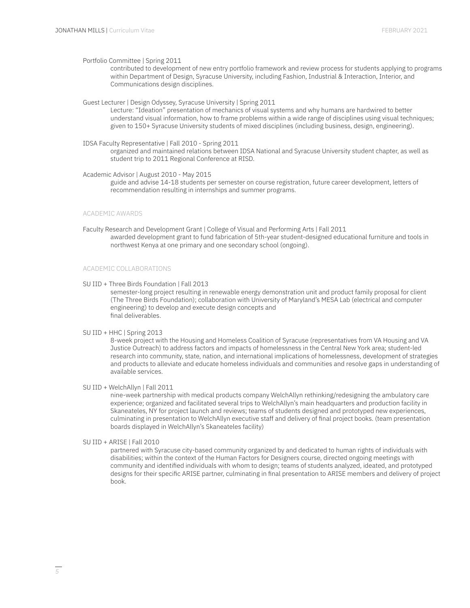Portfolio Committee | Spring 2011

contributed to development of new entry portfolio framework and review process for students applying to programs within Department of Design, Syracuse University, including Fashion, Industrial & Interaction, Interior, and Communications design disciplines.

Guest Lecturer | Design Odyssey, Syracuse University | Spring 2011

Lecture: "Ideation" presentation of mechanics of visual systems and why humans are hardwired to better understand visual information, how to frame problems within a wide range of disciplines using visual techniques; given to 150+ Syracuse University students of mixed disciplines (including business, design, engineering).

IDSA Faculty Representative | Fall 2010 - Spring 2011

organized and maintained relations between IDSA National and Syracuse University student chapter, as well as student trip to 2011 Regional Conference at RISD.

Academic Advisor | August 2010 - May 2015

guide and advise 14-18 students per semester on course registration, future career development, letters of recommendation resulting in internships and summer programs.

### ACADEMIC AWARDS

Faculty Research and Development Grant | College of Visual and Performing Arts | Fall 2011 awarded development grant to fund fabrication of 5th-year student-designed educational furniture and tools in northwest Kenya at one primary and one secondary school (ongoing).

## ACADEMIC COLLABORATIONS

SU IID + Three Birds Foundation | Fall 2013

semester-long project resulting in renewable energy demonstration unit and product family proposal for client (The Three Birds Foundation); collaboration with University of Maryland's MESA Lab (electrical and computer engineering) to develop and execute design concepts and final deliverables.

SU IID + HHC | Spring 2013

8-week project with the Housing and Homeless Coalition of Syracuse (representatives from VA Housing and VA Justice Outreach) to address factors and impacts of homelessness in the Central New York area; student-led research into community, state, nation, and international implications of homelessness, development of strategies and products to alleviate and educate homeless individuals and communities and resolve gaps in understanding of available services.

SU IID + WelchAllyn | Fall 2011

nine-week partnership with medical products company WelchAllyn rethinking/redesigning the ambulatory care experience; organized and facilitated several trips to WelchAllyn's main headquarters and production facility in Skaneateles, NY for project launch and reviews; teams of students designed and prototyped new experiences, culminating in presentation to WelchAllyn executive staff and delivery of final project books. (team presentation boards displayed in WelchAllyn's Skaneateles facility)

### SU IID + ARISE | Fall 2010

partnered with Syracuse city-based community organized by and dedicated to human rights of individuals with disabilities; within the context of the Human Factors for Designers course, directed ongoing meetings with community and identified individuals with whom to design; teams of students analyzed, ideated, and prototyped designs for their specific ARISE partner, culminating in final presentation to ARISE members and delivery of project book.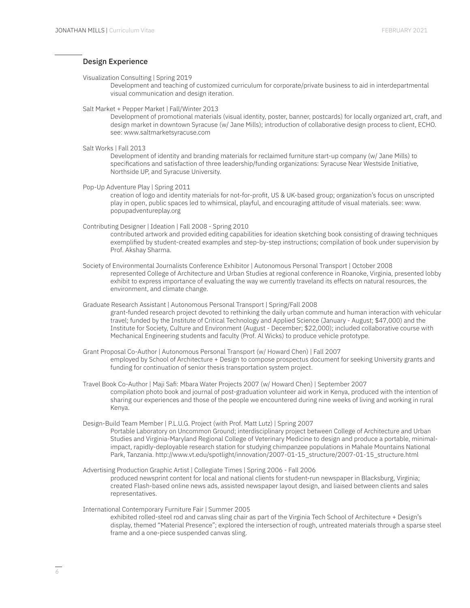## Design Experience

Visualization Consulting | Spring 2019

Development and teaching of customized curriculum for corporate/private business to aid in interdepartmental visual communication and design iteration.

Salt Market + Pepper Market | Fall/Winter 2013

Development of promotional materials (visual identity, poster, banner, postcards) for locally organized art, craft, and design market in downtown Syracuse (w/ Jane Mills); introduction of collaborative design process to client, ECHO. see: www.saltmarketsyracuse.com

Salt Works | Fall 2013

Development of identity and branding materials for reclaimed furniture start-up company (w/ Jane Mills) to specifications and satisfaction of three leadership/funding organizations: Syracuse Near Westside Initiative, Northside UP, and Syracuse University.

Pop-Up Adventure Play | Spring 2011

creation of logo and identity materials for not-for-profit, US & UK-based group; organization's focus on unscripted play in open, public spaces led to whimsical, playful, and encouraging attitude of visual materials. see: www. popupadventureplay.org

Contributing Designer | Ideation | Fall 2008 - Spring 2010

contributed artwork and provided editing capabilities for ideation sketching book consisting of drawing techniques exemplified by student-created examples and step-by-step instructions; compilation of book under supervision by Prof. Akshay Sharma.

Society of Environmental Journalists Conference Exhibitor | Autonomous Personal Transport | October 2008 represented College of Architecture and Urban Studies at regional conference in Roanoke, Virginia, presented lobby exhibit to express importance of evaluating the way we currently traveland its effects on natural resources, the environment, and climate change.

Graduate Research Assistant | Autonomous Personal Transport | Spring/Fall 2008 grant-funded research project devoted to rethinking the daily urban commute and human interaction with vehicular travel; funded by the Institute of Critical Technology and Applied Science (January - August; \$47,000) and the Institute for Society, Culture and Environment (August - December; \$22,000); included collaborative course with Mechanical Engineering students and faculty (Prof. Al Wicks) to produce vehicle prototype.

Grant Proposal Co-Author | Autonomous Personal Transport (w/ Howard Chen) | Fall 2007 employed by School of Architecture + Design to compose prospectus document for seeking University grants and funding for continuation of senior thesis transportation system project.

Travel Book Co-Author | Maji Safi: Mbara Water Projects 2007 (w/ Howard Chen) | September 2007 compilation photo book and journal of post-graduation volunteer aid work in Kenya, produced with the intention of sharing our experiences and those of the people we encountered during nine weeks of living and working in rural Kenya.

Design-Build Team Member | P.L.U.G. Project (with Prof. Matt Lutz) | Spring 2007

Portable Laboratory on Uncommon Ground; interdisciplinary project between College of Architecture and Urban Studies and Virginia-Maryland Regional College of Veterinary Medicine to design and produce a portable, minimalimpact, rapidly-deployable research station for studying chimpanzee populations in Mahale Mountains National Park, Tanzania. http://www.vt.edu/spotlight/innovation/2007-01-15\_structure/2007-01-15\_structure.html

Advertising Production Graphic Artist | Collegiate Times | Spring 2006 - Fall 2006

produced newsprint content for local and national clients for student-run newspaper in Blacksburg, Virginia; created Flash-based online news ads, assisted newspaper layout design, and liaised between clients and sales representatives.

International Contemporary Furniture Fair | Summer 2005

exhibited rolled-steel rod and canvas sling chair as part of the Virginia Tech School of Architecture + Design's display, themed "Material Presence"; explored the intersection of rough, untreated materials through a sparse steel frame and a one-piece suspended canvas sling.